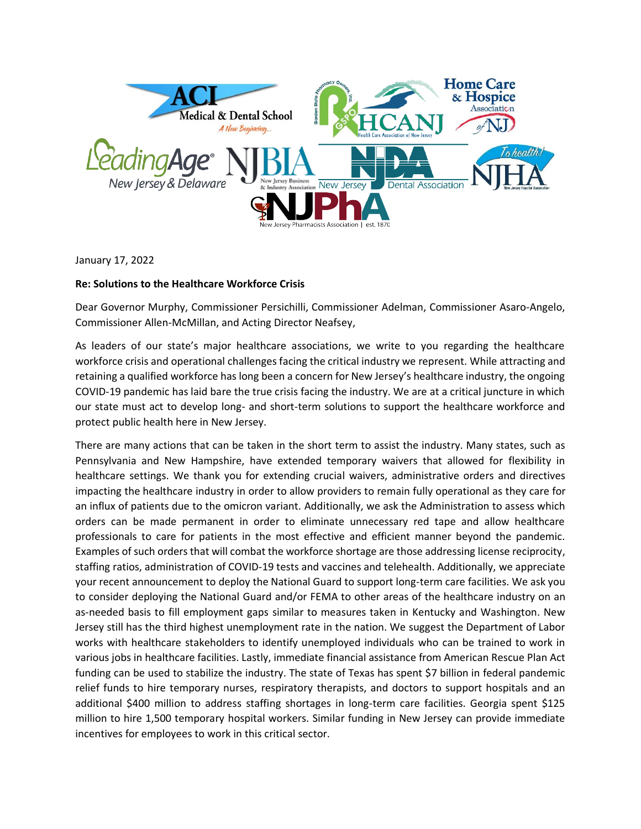

January 17, 2022

## **Re: Solutions to the Healthcare Workforce Crisis**

Dear Governor Murphy, Commissioner Persichilli, Commissioner Adelman, Commissioner Asaro-Angelo, Commissioner Allen-McMillan, and Acting Director Neafsey,

As leaders of our state's major healthcare associations, we write to you regarding the healthcare workforce crisis and operational challenges facing the critical industry we represent. While attracting and retaining a qualified workforce has long been a concern for New Jersey's healthcare industry, the ongoing COVID-19 pandemic has laid bare the true crisis facing the industry. We are at a critical juncture in which our state must act to develop long- and short-term solutions to support the healthcare workforce and protect public health here in New Jersey.

There are many actions that can be taken in the short term to assist the industry. Many states, such as Pennsylvania and New Hampshire, have extended temporary waivers that allowed for flexibility in healthcare settings. We thank you for extending crucial waivers, administrative orders and directives impacting the healthcare industry in order to allow providers to remain fully operational as they care for an influx of patients due to the omicron variant. Additionally, we ask the Administration to assess which orders can be made permanent in order to eliminate unnecessary red tape and allow healthcare professionals to care for patients in the most effective and efficient manner beyond the pandemic. Examples of such orders that will combat the workforce shortage are those addressing license reciprocity, staffing ratios, administration of COVID-19 tests and vaccines and telehealth. Additionally, we appreciate your recent announcement to deploy the National Guard to support long-term care facilities. We ask you to consider deploying the National Guard and/or FEMA to other areas of the healthcare industry on an as-needed basis to fill employment gaps similar to measures taken in Kentucky and Washington. New Jersey still has the third highest unemployment rate in the nation. We suggest the Department of Labor works with healthcare stakeholders to identify unemployed individuals who can be trained to work in various jobs in healthcare facilities. Lastly, immediate financial assistance from American Rescue Plan Act funding can be used to stabilize the industry. The state of Texas has spent \$7 billion in federal pandemic relief funds to hire temporary nurses, respiratory therapists, and doctors to support hospitals and an additional \$400 million to address staffing shortages in long-term care facilities. Georgia spent \$125 million to hire 1,500 temporary hospital workers. Similar funding in New Jersey can provide immediate incentives for employees to work in this critical sector.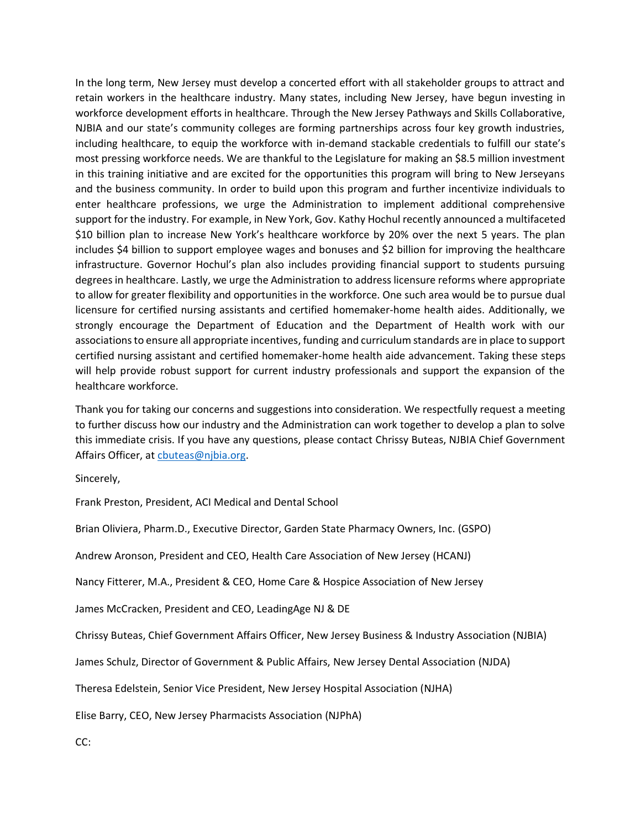In the long term, New Jersey must develop a concerted effort with all stakeholder groups to attract and retain workers in the healthcare industry. Many states, including New Jersey, have begun investing in workforce development efforts in healthcare. Through the New Jersey Pathways and Skills Collaborative, NJBIA and our state's community colleges are forming partnerships across four key growth industries, including healthcare, to equip the workforce with in-demand stackable credentials to fulfill our state's most pressing workforce needs. We are thankful to the Legislature for making an \$8.5 million investment in this training initiative and are excited for the opportunities this program will bring to New Jerseyans and the business community. In order to build upon this program and further incentivize individuals to enter healthcare professions, we urge the Administration to implement additional comprehensive support for the industry. For example, in New York, Gov. Kathy Hochul recently announced a multifaceted \$10 billion plan to increase New York's healthcare workforce by 20% over the next 5 years. The plan includes \$4 billion to support employee wages and bonuses and \$2 billion for improving the healthcare infrastructure. Governor Hochul's plan also includes providing financial support to students pursuing degrees in healthcare. Lastly, we urge the Administration to address licensure reforms where appropriate to allow for greater flexibility and opportunities in the workforce. One such area would be to pursue dual licensure for certified nursing assistants and certified homemaker-home health aides. Additionally, we strongly encourage the Department of Education and the Department of Health work with our associations to ensure all appropriate incentives, funding and curriculum standards are in place to support certified nursing assistant and certified homemaker-home health aide advancement. Taking these steps will help provide robust support for current industry professionals and support the expansion of the healthcare workforce.

Thank you for taking our concerns and suggestions into consideration. We respectfully request a meeting to further discuss how our industry and the Administration can work together to develop a plan to solve this immediate crisis. If you have any questions, please contact Chrissy Buteas, NJBIA Chief Government Affairs Officer, at [cbuteas@njbia.org.](mailto:cbuteas@njbia.org)

Sincerely,

Frank Preston, President, ACI Medical and Dental School

Brian Oliviera, Pharm.D., Executive Director, Garden State Pharmacy Owners, Inc. (GSPO)

Andrew Aronson, President and CEO, Health Care Association of New Jersey (HCANJ)

Nancy Fitterer, M.A., President & CEO, Home Care & Hospice Association of New Jersey

James McCracken, President and CEO, LeadingAge NJ & DE

Chrissy Buteas, Chief Government Affairs Officer, New Jersey Business & Industry Association (NJBIA)

James Schulz, Director of Government & Public Affairs, New Jersey Dental Association (NJDA)

Theresa Edelstein, Senior Vice President, New Jersey Hospital Association (NJHA)

Elise Barry, CEO, New Jersey Pharmacists Association (NJPhA)

CC: